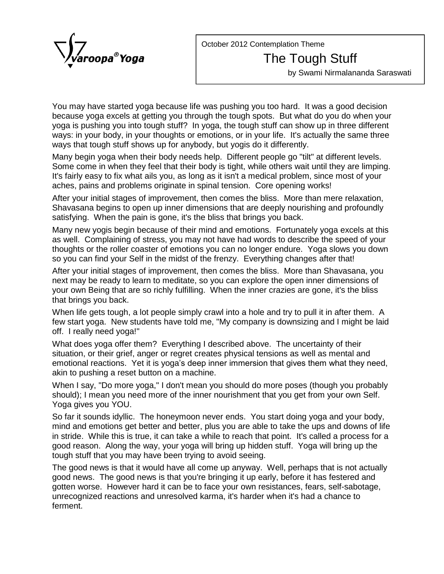

October 2012 Contemplation Theme

## The Tough Stuff

by Swami Nirmalananda Saraswati

You may have started yoga because life was pushing you too hard. It was a good decision because yoga excels at getting you through the tough spots. But what do you do when your yoga is pushing you into tough stuff? In yoga, the tough stuff can show up in three different ways: in your body, in your thoughts or emotions, or in your life. It's actually the same three ways that tough stuff shows up for anybody, but yogis do it differently.

Many begin yoga when their body needs help. Different people go "tilt" at different levels. Some come in when they feel that their body is tight, while others wait until they are limping. It's fairly easy to fix what ails you, as long as it isn't a medical problem, since most of your aches, pains and problems originate in spinal tension. Core opening works!

After your initial stages of improvement, then comes the bliss. More than mere relaxation, Shavasana begins to open up inner dimensions that are deeply nourishing and profoundly satisfying. When the pain is gone, it's the bliss that brings you back.

Many new yogis begin because of their mind and emotions. Fortunately yoga excels at this as well. Complaining of stress, you may not have had words to describe the speed of your thoughts or the roller coaster of emotions you can no longer endure. Yoga slows you down so you can find your Self in the midst of the frenzy. Everything changes after that!

After your initial stages of improvement, then comes the bliss. More than Shavasana, you next may be ready to learn to meditate, so you can explore the open inner dimensions of your own Being that are so richly fulfilling. When the inner crazies are gone, it's the bliss that brings you back.

When life gets tough, a lot people simply crawl into a hole and try to pull it in after them. A few start yoga. New students have told me, "My company is downsizing and I might be laid off. I really need yoga!"

What does yoga offer them? Everything I described above. The uncertainty of their situation, or their grief, anger or regret creates physical tensions as well as mental and emotional reactions. Yet it is yoga's deep inner immersion that gives them what they need, akin to pushing a reset button on a machine.

When I say, "Do more yoga," I don't mean you should do more poses (though you probably should); I mean you need more of the inner nourishment that you get from your own Self. Yoga gives you YOU.

So far it sounds idyllic. The honeymoon never ends. You start doing yoga and your body, mind and emotions get better and better, plus you are able to take the ups and downs of life in stride. While this is true, it can take a while to reach that point. It's called a process for a good reason. Along the way, your yoga will bring up hidden stuff. Yoga will bring up the tough stuff that you may have been trying to avoid seeing.

The good news is that it would have all come up anyway. Well, perhaps that is not actually good news. The good news is that you're bringing it up early, before it has festered and gotten worse. However hard it can be to face your own resistances, fears, self-sabotage, unrecognized reactions and unresolved karma, it's harder when it's had a chance to ferment.